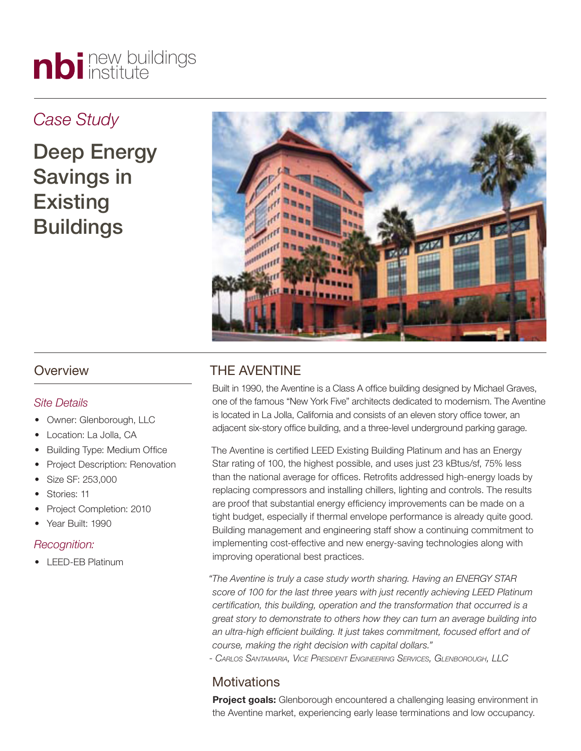# nbi new buildings

# *Case Study*

Deep Energy Savings in **Existing** Buildings



# THE AVENTINE

Built in 1990, the Aventine is a Class A office building designed by Michael Graves, one of the famous "New York Five" architects dedicated to modernism. The Aventine is located in La Jolla, California and consists of an eleven story office tower, an adjacent six-story office building, and a three-level underground parking garage.

The Aventine is certified LEED Existing Building Platinum and has an Energy Star rating of 100, the highest possible, and uses just 23 kBtus/sf, 75% less than the national average for offices. Retrofits addressed high-energy loads by replacing compressors and installing chillers, lighting and controls. The results are proof that substantial energy efficiency improvements can be made on a tight budget, especially if thermal envelope performance is already quite good. Building management and engineering staff show a continuing commitment to implementing cost-effective and new energy-saving technologies along with improving operational best practices.

*"The Aventine is truly a case study worth sharing. Having an ENERGY STAR score of 100 for the last three years with just recently achieving LEED Platinum certification, this building, operation and the transformation that occurred is a great story to demonstrate to others how they can turn an average building into an ultra-high efficient building. It just takes commitment, focused effort and of course, making the right decision with capital dollars."*

*- Carlos Santamaria, Vice President Engineering Services, Glenborough, LLC*

# **Motivations**

**Project goals:** Glenborough encountered a challenging leasing environment in the Aventine market, experiencing early lease terminations and low occupancy.

# **Overview**

# *Site Details*

- Owner: Glenborough, LLC
- Location: La Jolla, CA
- **Building Type: Medium Office**
- Project Description: Renovation
- Size SF: 253,000
- • Stories: 11
- Project Completion: 2010
- Year Built: 1990

# *Recognition:*

• LEED-EB Platinum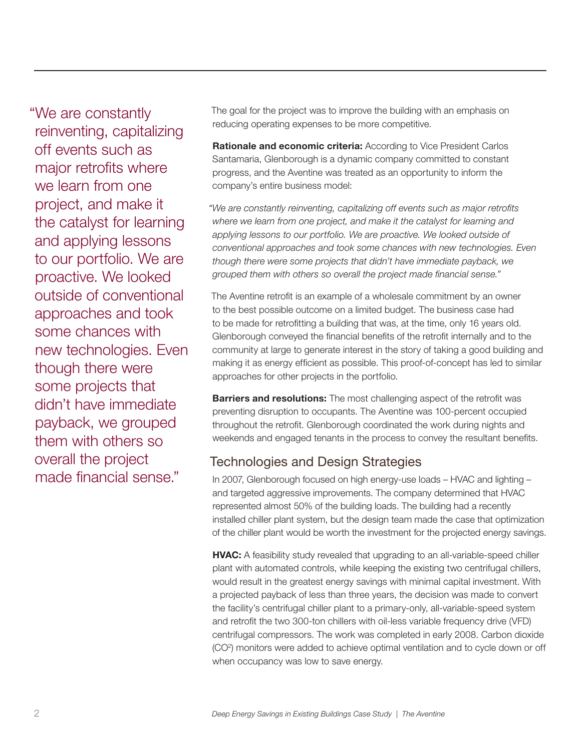"We are constantly reinventing, capitalizing off events such as major retrofits where we learn from one project, and make it the catalyst for learning and applying lessons to our portfolio. We are proactive. We looked outside of conventional approaches and took some chances with new technologies. Even though there were some projects that didn't have immediate payback, we grouped them with others so overall the project made financial sense."

The goal for the project was to improve the building with an emphasis on reducing operating expenses to be more competitive.

**Rationale and economic criteria:** According to Vice President Carlos Santamaria, Glenborough is a dynamic company committed to constant progress, and the Aventine was treated as an opportunity to inform the company's entire business model:

*"We are constantly reinventing, capitalizing off events such as major retrofits where we learn from one project, and make it the catalyst for learning and applying lessons to our portfolio. We are proactive. We looked outside of conventional approaches and took some chances with new technologies. Even though there were some projects that didn't have immediate payback, we grouped them with others so overall the project made financial sense."*

The Aventine retrofit is an example of a wholesale commitment by an owner to the best possible outcome on a limited budget. The business case had to be made for retrofitting a building that was, at the time, only 16 years old. Glenborough conveyed the financial benefits of the retrofit internally and to the community at large to generate interest in the story of taking a good building and making it as energy efficient as possible. This proof-of-concept has led to similar approaches for other projects in the portfolio.

**Barriers and resolutions:** The most challenging aspect of the retrofit was preventing disruption to occupants. The Aventine was 100-percent occupied throughout the retrofit. Glenborough coordinated the work during nights and weekends and engaged tenants in the process to convey the resultant benefits.

# Technologies and Design Strategies

In 2007, Glenborough focused on high energy-use loads – HVAC and lighting – and targeted aggressive improvements. The company determined that HVAC represented almost 50% of the building loads. The building had a recently installed chiller plant system, but the design team made the case that optimization of the chiller plant would be worth the investment for the projected energy savings.

**HVAC:** A feasibility study revealed that upgrading to an all-variable-speed chiller plant with automated controls, while keeping the existing two centrifugal chillers, would result in the greatest energy savings with minimal capital investment. With a projected payback of less than three years, the decision was made to convert the facility's centrifugal chiller plant to a primary-only, all-variable-speed system and retrofit the two 300-ton chillers with oil-less variable frequency drive (VFD) centrifugal compressors. The work was completed in early 2008. Carbon dioxide (CO<sup>2</sup>) monitors were added to achieve optimal ventilation and to cycle down or off when occupancy was low to save energy.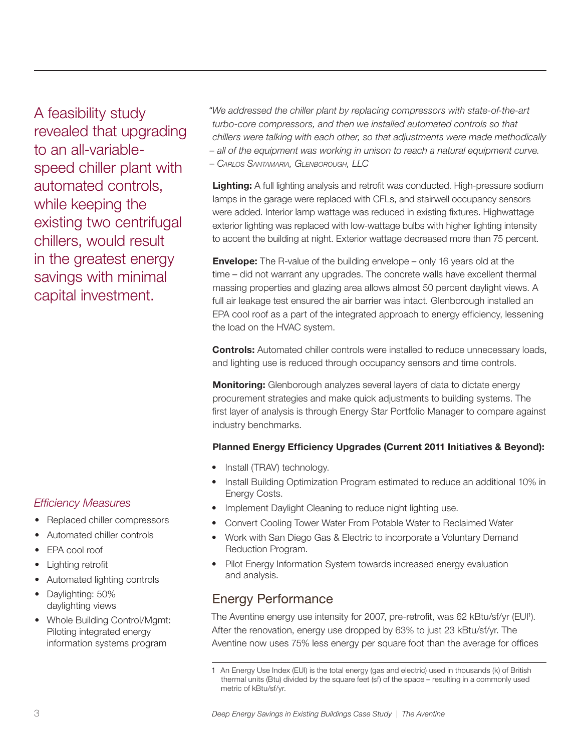A feasibility study revealed that upgrading to an all-variablespeed chiller plant with automated controls, while keeping the existing two centrifugal chillers, would result in the greatest energy savings with minimal capital investment.

### *Efficiency Measures*

- Replaced chiller compressors
- Automated chiller controls
- EPA cool roof
- Lighting retrofit
- Automated lighting controls
- Daylighting: 50% daylighting views
- Whole Building Control/Mgmt: Piloting integrated energy information systems program

*"We addressed the chiller plant by replacing compressors with state-of-the-art turbo-core compressors, and then we installed automated controls so that chillers were talking with each other, so that adjustments were made methodically – all of the equipment was working in unison to reach a natural equipment curve. – Carlos Santamaria, Glenborough, LLC*

**Lighting:** A full lighting analysis and retrofit was conducted. High-pressure sodium lamps in the garage were replaced with CFLs, and stairwell occupancy sensors were added. Interior lamp wattage was reduced in existing fixtures. Highwattage exterior lighting was replaced with low-wattage bulbs with higher lighting intensity to accent the building at night. Exterior wattage decreased more than 75 percent.

**Envelope:** The R-value of the building envelope – only 16 years old at the time – did not warrant any upgrades. The concrete walls have excellent thermal massing properties and glazing area allows almost 50 percent daylight views. A full air leakage test ensured the air barrier was intact. Glenborough installed an EPA cool roof as a part of the integrated approach to energy efficiency, lessening the load on the HVAC system.

**Controls:** Automated chiller controls were installed to reduce unnecessary loads, and lighting use is reduced through occupancy sensors and time controls.

**Monitoring:** Glenborough analyzes several layers of data to dictate energy procurement strategies and make quick adjustments to building systems. The first layer of analysis is through Energy Star Portfolio Manager to compare against industry benchmarks.

#### **Planned Energy Efficiency Upgrades (Current 2011 Initiatives & Beyond):**

- Install (TRAV) technology.
- Install Building Optimization Program estimated to reduce an additional 10% in Energy Costs.
- Implement Daylight Cleaning to reduce night lighting use.
- Convert Cooling Tower Water From Potable Water to Reclaimed Water
- Work with San Diego Gas & Electric to incorporate a Voluntary Demand Reduction Program.
- Pilot Energy Information System towards increased energy evaluation and analysis.

# Energy Performance

The Aventine energy use intensity for 2007, pre-retrofit, was 62 kBtu/sf/yr (EUI<sup>1</sup>). After the renovation, energy use dropped by 63% to just 23 kBtu/sf/yr. The Aventine now uses 75% less energy per square foot than the average for offices

<sup>1</sup> An Energy Use Index (EUI) is the total energy (gas and electric) used in thousands (k) of British thermal units (Btu) divided by the square feet (sf) of the space – resulting in a commonly used metric of kBtu/sf/yr.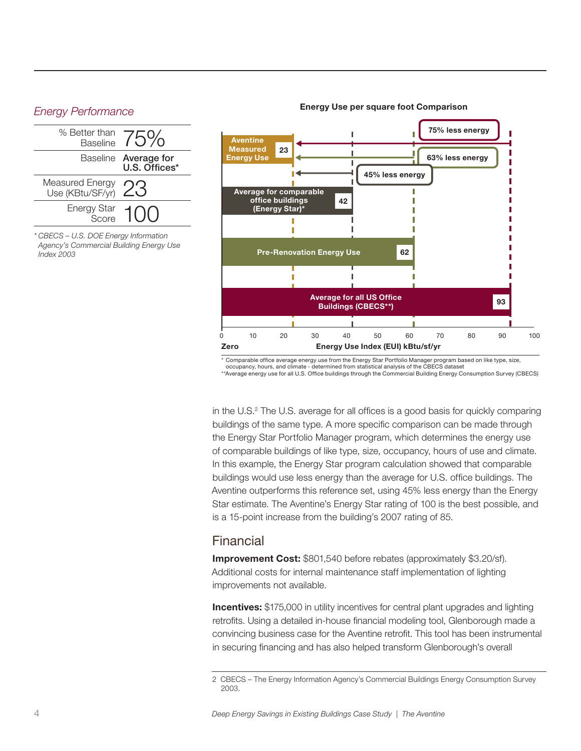# *Energy Performance*



*\* CBECS – U.S. DOE Energy Information Agency's Commercial Building Energy Use Index 2003*

#### **75% less energy Aventine Measured 23 Energy Use 63% less energy 45% less energy Average for comparable office buildings 42 (Energy Star)\*** П Ī **Pre-Renovation Energy Use 62 Average for all US Office 93 Buildings (CBECS\*\*)**0 10 20 30 40 50 60 70 80 90 100 **Zero Energy Use Index (EUI) kBtu/sf/yr**

\* Comparable office average energy use from the Energy Star Portfolio Manager program based on like type, size,

occupancy, hours, and climate - determined from statistical analysis of the CBECS dataset \*\*Average energy use for all U.S. Office buildings through the Commercial Building Energy Consumption Survey (CBECS)

in the U.S.<sup>2</sup> The U.S. average for all offices is a good basis for quickly comparing buildings of the same type. A more specific comparison can be made through the Energy Star Portfolio Manager program, which determines the energy use of comparable buildings of like type, size, occupancy, hours of use and climate. In this example, the Energy Star program calculation showed that comparable buildings would use less energy than the average for U.S. office buildings. The Aventine outperforms this reference set, using 45% less energy than the Energy Star estimate. The Aventine's Energy Star rating of 100 is the best possible, and is a 15-point increase from the building's 2007 rating of 85.

# Financial

**Improvement Cost:** \$801,540 before rebates (approximately \$3.20/sf). Additional costs for internal maintenance staff implementation of lighting improvements not available.

**Incentives:** \$175,000 in utility incentives for central plant upgrades and lighting retrofits. Using a detailed in-house financial modeling tool, Glenborough made a convincing business case for the Aventine retrofit. This tool has been instrumental in securing financing and has also helped transform Glenborough's overall

#### **Energy Use per square foot Comparison**

<sup>2</sup> CBECS – The Energy Information Agency's Commercial Buildings Energy Consumption Survey 2003.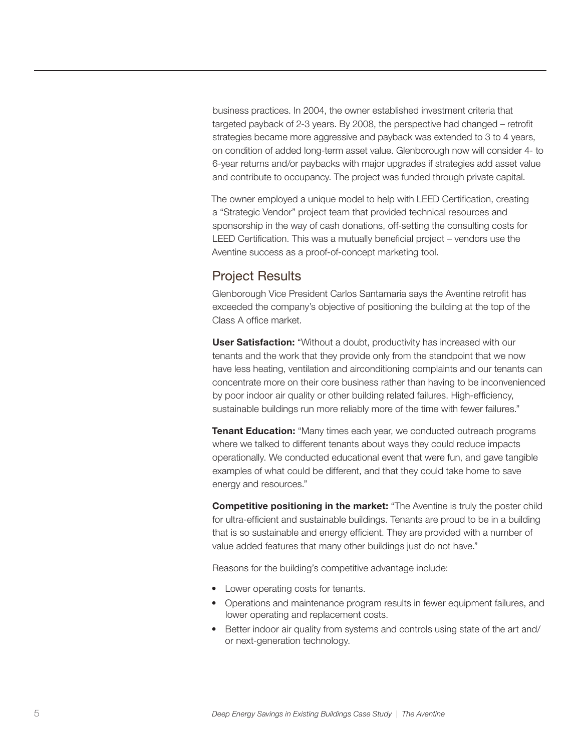business practices. In 2004, the owner established investment criteria that targeted payback of 2-3 years. By 2008, the perspective had changed – retrofit strategies became more aggressive and payback was extended to 3 to 4 years, on condition of added long-term asset value. Glenborough now will consider 4- to 6-year returns and/or paybacks with major upgrades if strategies add asset value and contribute to occupancy. The project was funded through private capital.

The owner employed a unique model to help with LEED Certification, creating a "Strategic Vendor" project team that provided technical resources and sponsorship in the way of cash donations, off-setting the consulting costs for LEED Certification. This was a mutually beneficial project – vendors use the Aventine success as a proof-of-concept marketing tool.

# Project Results

Glenborough Vice President Carlos Santamaria says the Aventine retrofit has exceeded the company's objective of positioning the building at the top of the Class A office market.

**User Satisfaction:** "Without a doubt, productivity has increased with our tenants and the work that they provide only from the standpoint that we now have less heating, ventilation and airconditioning complaints and our tenants can concentrate more on their core business rather than having to be inconvenienced by poor indoor air quality or other building related failures. High-efficiency, sustainable buildings run more reliably more of the time with fewer failures."

**Tenant Education:** "Many times each year, we conducted outreach programs where we talked to different tenants about ways they could reduce impacts operationally. We conducted educational event that were fun, and gave tangible examples of what could be different, and that they could take home to save energy and resources."

**Competitive positioning in the market:** "The Aventine is truly the poster child for ultra-efficient and sustainable buildings. Tenants are proud to be in a building that is so sustainable and energy efficient. They are provided with a number of value added features that many other buildings just do not have."

Reasons for the building's competitive advantage include:

- Lower operating costs for tenants.
- Operations and maintenance program results in fewer equipment failures, and lower operating and replacement costs.
- Better indoor air quality from systems and controls using state of the art and/ or next-generation technology.